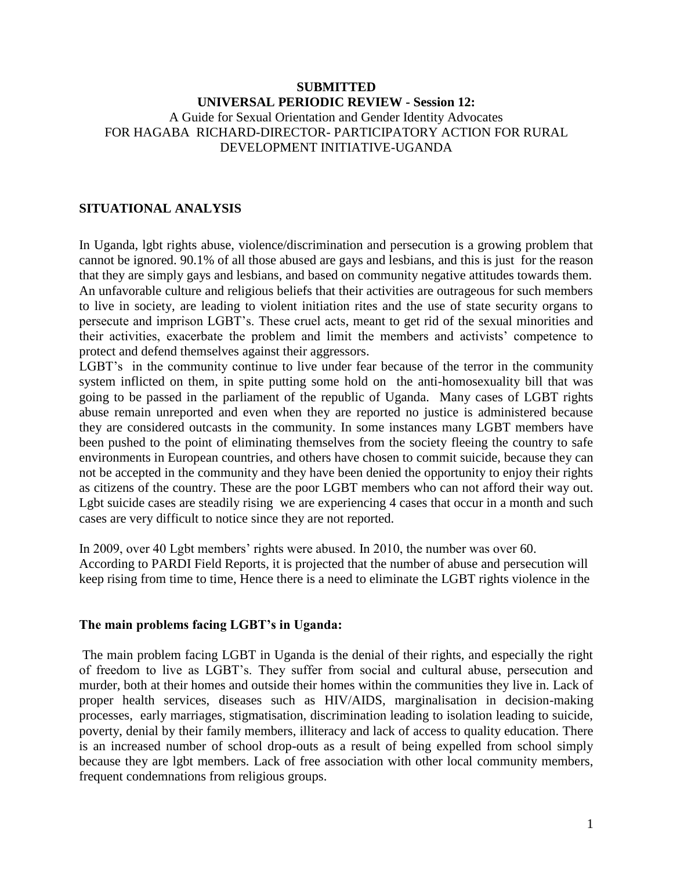## **SUBMITTED UNIVERSAL PERIODIC REVIEW - Session 12:** A Guide for Sexual Orientation and Gender Identity Advocates FOR HAGABA RICHARD-DIRECTOR- PARTICIPATORY ACTION FOR RURAL DEVELOPMENT INITIATIVE-UGANDA

#### **SITUATIONAL ANALYSIS**

In Uganda, lgbt rights abuse, violence/discrimination and persecution is a growing problem that cannot be ignored. 90.1% of all those abused are gays and lesbians, and this is just for the reason that they are simply gays and lesbians, and based on community negative attitudes towards them. An unfavorable culture and religious beliefs that their activities are outrageous for such members to live in society, are leading to violent initiation rites and the use of state security organs to persecute and imprison LGBT's. These cruel acts, meant to get rid of the sexual minorities and their activities, exacerbate the problem and limit the members and activists' competence to protect and defend themselves against their aggressors.

LGBT's in the community continue to live under fear because of the terror in the community system inflicted on them, in spite putting some hold on the anti-homosexuality bill that was going to be passed in the parliament of the republic of Uganda. Many cases of LGBT rights abuse remain unreported and even when they are reported no justice is administered because they are considered outcasts in the community. In some instances many LGBT members have been pushed to the point of eliminating themselves from the society fleeing the country to safe environments in European countries, and others have chosen to commit suicide, because they can not be accepted in the community and they have been denied the opportunity to enjoy their rights as citizens of the country. These are the poor LGBT members who can not afford their way out. Lgbt suicide cases are steadily rising we are experiencing 4 cases that occur in a month and such cases are very difficult to notice since they are not reported.

In 2009, over 40 Lgbt members' rights were abused. In 2010, the number was over 60. According to PARDI Field Reports, it is projected that the number of abuse and persecution will keep rising from time to time, Hence there is a need to eliminate the LGBT rights violence in the

#### **The main problems facing LGBT's in Uganda:**

The main problem facing LGBT in Uganda is the denial of their rights, and especially the right of freedom to live as LGBT's. They suffer from social and cultural abuse, persecution and murder, both at their homes and outside their homes within the communities they live in. Lack of proper health services, diseases such as HIV/AIDS, marginalisation in decision-making processes, early marriages, stigmatisation, discrimination leading to isolation leading to suicide, poverty, denial by their family members, illiteracy and lack of access to quality education. There is an increased number of school drop-outs as a result of being expelled from school simply because they are lgbt members. Lack of free association with other local community members, frequent condemnations from religious groups.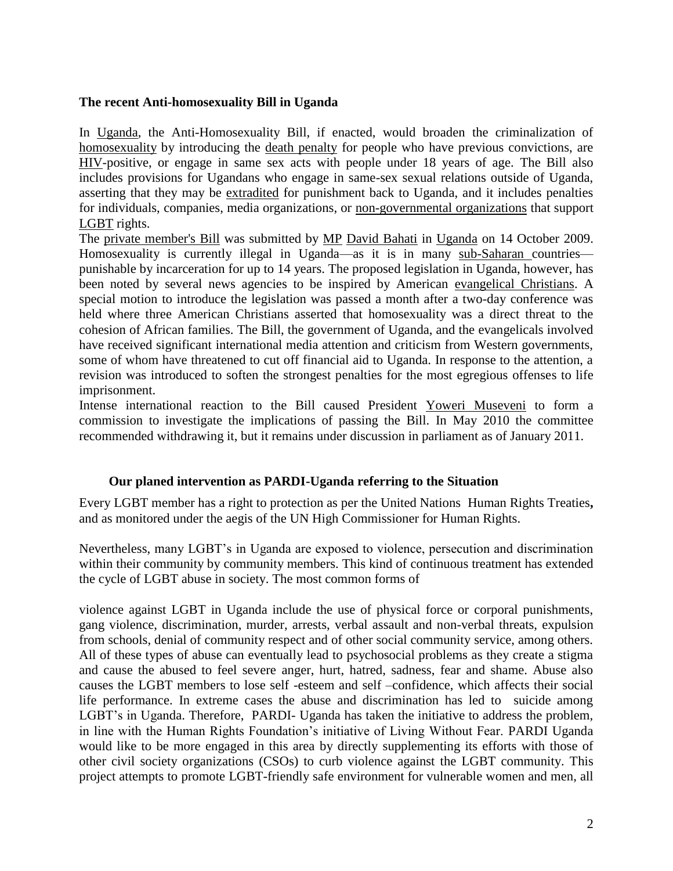## **The recent Anti-homosexuality Bill in Uganda**

In [Uganda,](http://en.wikipedia.org/wiki/Uganda) the Anti-Homosexuality Bill, if enacted, would broaden the criminalization of [homosexuality](http://en.wikipedia.org/wiki/Homosexuality) by introducing the [death penalty](http://en.wikipedia.org/wiki/Capital_punishment) for people who have previous convictions, are [HIV-](http://en.wikipedia.org/wiki/HIV)positive, or engage in same sex acts with people under 18 years of age. The Bill also includes provisions for Ugandans who engage in same-sex sexual relations outside of Uganda, asserting that they may be [extradited](http://en.wikipedia.org/wiki/Extradition) for punishment back to Uganda, and it includes penalties for individuals, companies, media organizations, or [non-governmental organizations](http://en.wikipedia.org/wiki/Non-governmental_organisation) that support [LGBT](http://en.wikipedia.org/wiki/LGBT) rights.

The [private member's Bill](http://en.wikipedia.org/wiki/Private_member%27s_bill) was submitted by [MP](http://en.wikipedia.org/wiki/Member_of_Parliament) [David Bahati](http://en.wikipedia.org/wiki/David_Bahati) in [Uganda](http://en.wikipedia.org/wiki/Uganda) on 14 October 2009. Homosexuality is currently illegal in Uganda—as it is in many [sub-Saharan c](http://en.wikipedia.org/wiki/Sub-Saharan_Africa)ountries punishable by incarceration for up to 14 years. The proposed legislation in Uganda, however, has been noted by several news agencies to be inspired by American [evangelical Christians.](http://en.wikipedia.org/wiki/Evangelicalism) A special motion to introduce the legislation was passed a month after a two-day conference was held where three American Christians asserted that homosexuality was a direct threat to the cohesion of African families. The Bill, the government of Uganda, and the evangelicals involved have received significant international media attention and criticism from Western governments, some of whom have threatened to cut off financial aid to Uganda. In response to the attention, a revision was introduced to soften the strongest penalties for the most egregious offenses to life imprisonment.

Intense international reaction to the Bill caused President [Yoweri Museveni](http://en.wikipedia.org/wiki/Yoweri_Museveni) to form a commission to investigate the implications of passing the Bill. In May 2010 the committee recommended withdrawing it, but it remains under discussion in parliament as of January 2011.

# **Our planed intervention as PARDI-Uganda referring to the Situation**

Every LGBT member has a right to protection as per the United Nations Human Rights Treaties**,**  and as monitored under the aegis of the UN High Commissioner for Human Rights.

Nevertheless, many LGBT's in Uganda are exposed to violence, persecution and discrimination within their community by community members. This kind of continuous treatment has extended the cycle of LGBT abuse in society. The most common forms of

violence against LGBT in Uganda include the use of physical force or corporal punishments, gang violence, discrimination, murder, arrests, verbal assault and non-verbal threats, expulsion from schools, denial of community respect and of other social community service, among others. All of these types of abuse can eventually lead to psychosocial problems as they create a stigma and cause the abused to feel severe anger, hurt, hatred, sadness, fear and shame. Abuse also causes the LGBT members to lose self -esteem and self –confidence, which affects their social life performance. In extreme cases the abuse and discrimination has led to suicide among LGBT's in Uganda. Therefore, PARDI- Uganda has taken the initiative to address the problem, in line with the Human Rights Foundation's initiative of Living Without Fear. PARDI Uganda would like to be more engaged in this area by directly supplementing its efforts with those of other civil society organizations (CSOs) to curb violence against the LGBT community. This project attempts to promote LGBT-friendly safe environment for vulnerable women and men, all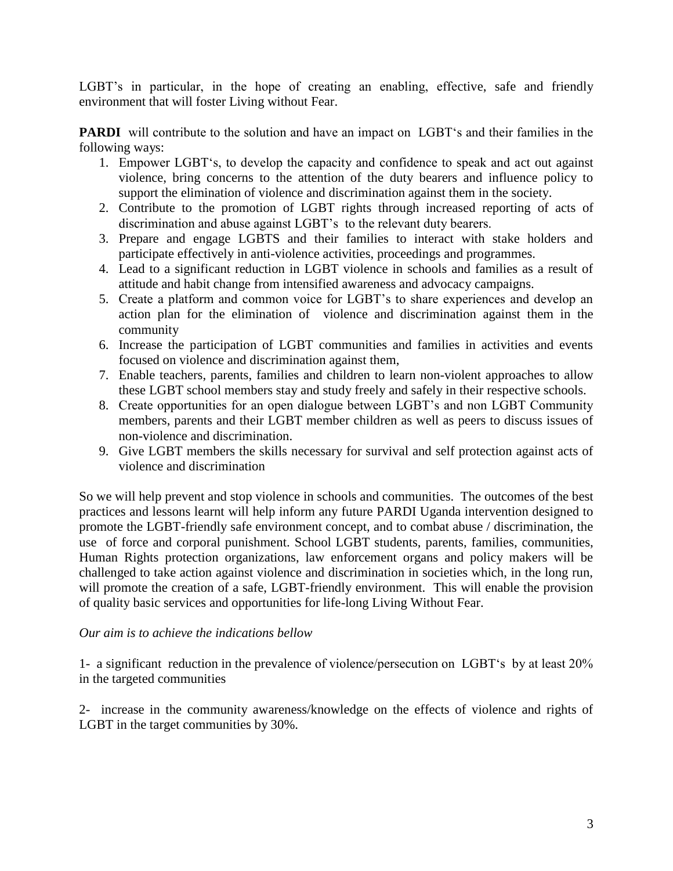LGBT's in particular, in the hope of creating an enabling, effective, safe and friendly environment that will foster Living without Fear.

**PARDI** will contribute to the solution and have an impact on LGBT's and their families in the following ways:

- 1. Empower LGBT's, to develop the capacity and confidence to speak and act out against violence, bring concerns to the attention of the duty bearers and influence policy to support the elimination of violence and discrimination against them in the society.
- 2. Contribute to the promotion of LGBT rights through increased reporting of acts of discrimination and abuse against LGBT's to the relevant duty bearers.
- 3. Prepare and engage LGBTS and their families to interact with stake holders and participate effectively in anti-violence activities, proceedings and programmes.
- 4. Lead to a significant reduction in LGBT violence in schools and families as a result of attitude and habit change from intensified awareness and advocacy campaigns.
- 5. Create a platform and common voice for LGBT's to share experiences and develop an action plan for the elimination of violence and discrimination against them in the community
- 6. Increase the participation of LGBT communities and families in activities and events focused on violence and discrimination against them,
- 7. Enable teachers, parents, families and children to learn non-violent approaches to allow these LGBT school members stay and study freely and safely in their respective schools.
- 8. Create opportunities for an open dialogue between LGBT's and non LGBT Community members, parents and their LGBT member children as well as peers to discuss issues of non-violence and discrimination.
- 9. Give LGBT members the skills necessary for survival and self protection against acts of violence and discrimination

So we will help prevent and stop violence in schools and communities. The outcomes of the best practices and lessons learnt will help inform any future PARDI Uganda intervention designed to promote the LGBT-friendly safe environment concept, and to combat abuse / discrimination, the use of force and corporal punishment. School LGBT students, parents, families, communities, Human Rights protection organizations, law enforcement organs and policy makers will be challenged to take action against violence and discrimination in societies which, in the long run, will promote the creation of a safe, LGBT-friendly environment. This will enable the provision of quality basic services and opportunities for life-long Living Without Fear.

# *Our aim is to achieve the indications bellow*

1- a significant reduction in the prevalence of violence/persecution on LGBT's by at least 20% in the targeted communities

2- increase in the community awareness/knowledge on the effects of violence and rights of LGBT in the target communities by 30%.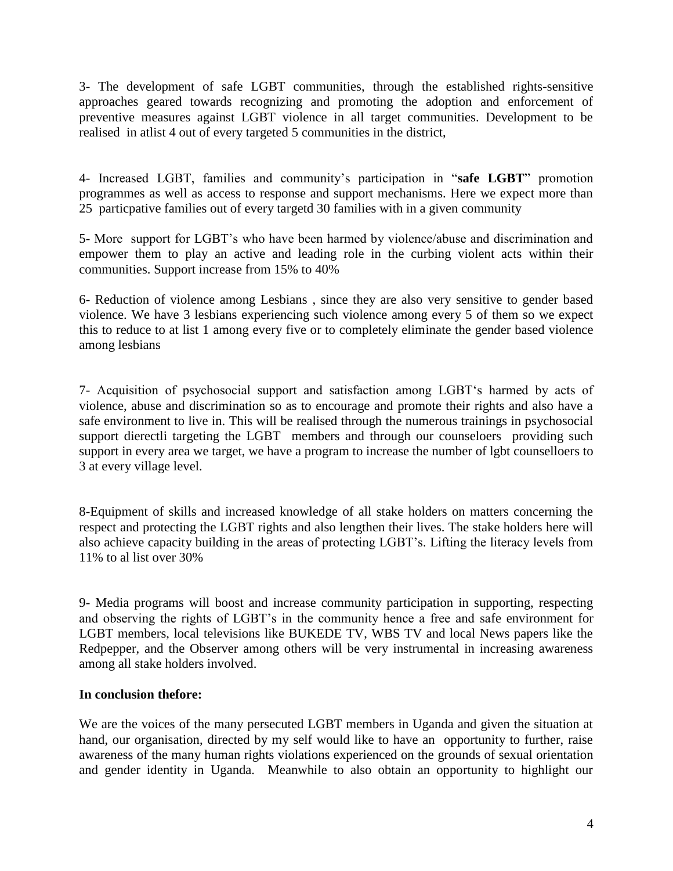3- The development of safe LGBT communities, through the established rights-sensitive approaches geared towards recognizing and promoting the adoption and enforcement of preventive measures against LGBT violence in all target communities. Development to be realised in atlist 4 out of every targeted 5 communities in the district,

4- Increased LGBT, families and community's participation in "safe LGBT" promotion programmes as well as access to response and support mechanisms. Here we expect more than 25 particpative families out of every targetd 30 families with in a given community

5- More support for LGBT's who have been harmed by violence/abuse and discrimination and empower them to play an active and leading role in the curbing violent acts within their communities. Support increase from 15% to 40%

6- Reduction of violence among Lesbians , since they are also very sensitive to gender based violence. We have 3 lesbians experiencing such violence among every 5 of them so we expect this to reduce to at list 1 among every five or to completely eliminate the gender based violence among lesbians

7- Acquisition of psychosocial support and satisfaction among LGBT‗s harmed by acts of violence, abuse and discrimination so as to encourage and promote their rights and also have a safe environment to live in. This will be realised through the numerous trainings in psychosocial support dierectli targeting the LGBT members and through our counseloers providing such support in every area we target, we have a program to increase the number of lgbt counselloers to 3 at every village level.

8-Equipment of skills and increased knowledge of all stake holders on matters concerning the respect and protecting the LGBT rights and also lengthen their lives. The stake holders here will also achieve capacity building in the areas of protecting LGBT's. Lifting the literacy levels from 11% to al list over 30%

9- Media programs will boost and increase community participation in supporting, respecting and observing the rights of LGBT's in the community hence a free and safe environment for LGBT members, local televisions like BUKEDE TV, WBS TV and local News papers like the Redpepper, and the Observer among others will be very instrumental in increasing awareness among all stake holders involved.

# **In conclusion thefore:**

We are the voices of the many persecuted LGBT members in Uganda and given the situation at hand, our organisation, directed by my self would like to have an opportunity to further, raise awareness of the many human rights violations experienced on the grounds of sexual orientation and gender identity in Uganda. Meanwhile to also obtain an opportunity to highlight our